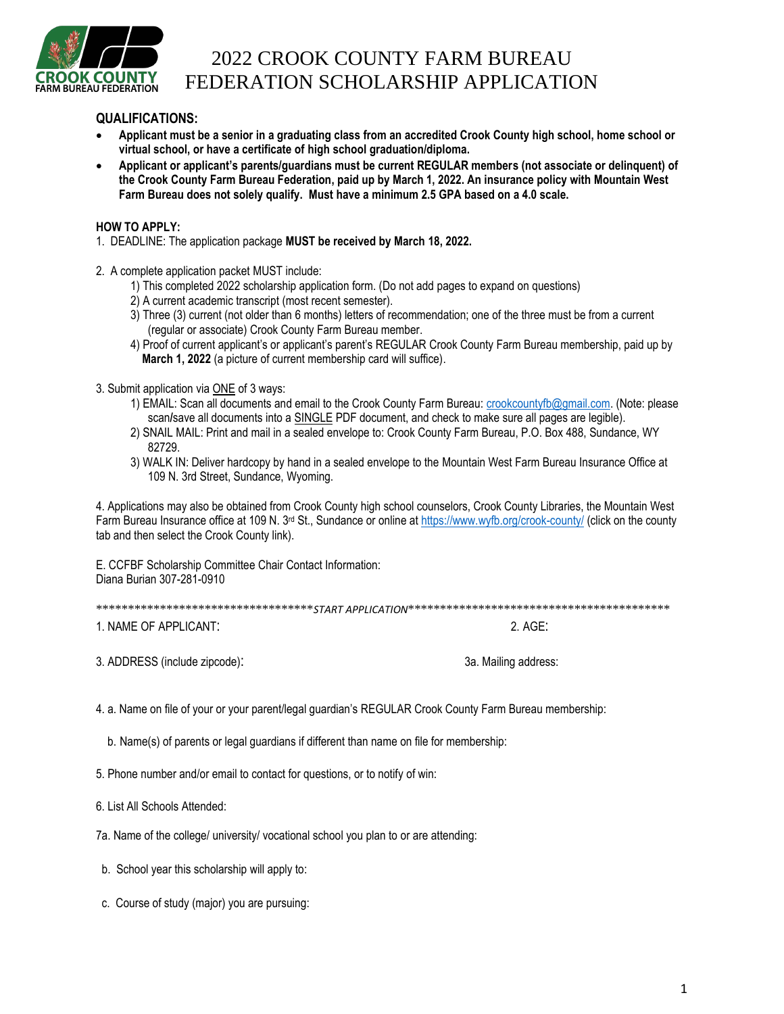

## 2022 CROOK COUNTY FARM BUREAU FEDERATION SCHOLARSHIP APPLICATION

## **QUALIFICATIONS:**

- **Applicant must be a senior in a graduating class from an accredited Crook County high school, home school or virtual school, or have a certificate of high school graduation/diploma.**
- **Applicant or applicant's parents/guardians must be current REGULAR members (not associate or delinquent) of the Crook County Farm Bureau Federation, paid up by March 1, 2022. An insurance policy with Mountain West Farm Bureau does not solely qualify. Must have a minimum 2.5 GPA based on a 4.0 scale.**

## **HOW TO APPLY:**

- 1. DEADLINE: The application package **MUST be received by March 18, 2022.**
- 2. A complete application packet MUST include:
	- 1) This completed 2022 scholarship application form. (Do not add pages to expand on questions)
	- 2) A current academic transcript (most recent semester).
	- 3) Three (3) current (not older than 6 months) letters of recommendation; one of the three must be from a current (regular or associate) Crook County Farm Bureau member.
	- 4) Proof of current applicant's or applicant's parent's REGULAR Crook County Farm Bureau membership, paid up by **March 1, 2022** (a picture of current membership card will suffice).
- 3. Submit application via ONE of 3 ways:
	- 1) EMAIL: Scan all documents and email to the Crook County Farm Bureau: [crookcountyfb@gmail.com.](mailto:crookcountyfb@gmail.com) (Note: please scan/save all documents into a **SINGLE PDF** document, and check to make sure all pages are legible).
	- 2) SNAIL MAIL: Print and mail in a sealed envelope to: Crook County Farm Bureau, P.O. Box 488, Sundance, WY 82729.
	- 3) WALK IN: Deliver hardcopy by hand in a sealed envelope to the Mountain West Farm Bureau Insurance Office at 109 N. 3rd Street, Sundance, Wyoming.

4. Applications may also be obtained from Crook County high school counselors, Crook County Libraries, the Mountain West Farm Bureau Insurance office at 109 N. 3<sup>rd</sup> St., Sundance or online at<https://www.wyfb.org/crook-county/> (click on the county tab and then select the Crook County link).

E. CCFBF Scholarship Committee Chair Contact Information: Diana Burian 307-281-0910

| .<br>.<br>.<br><br>---<br>.<br>---<br>$\sim$ |
|----------------------------------------------|
|----------------------------------------------|

1. NAME OF APPLICANT: 2. AGE:

3. ADDRESS (include zipcode): 3a. Mailing address:

4. a. Name on file of your or your parent/legal guardian's REGULAR Crook County Farm Bureau membership:

b. Name(s) of parents or legal guardians if different than name on file for membership:

5. Phone number and/or email to contact for questions, or to notify of win:

6. List All Schools Attended:

7a. Name of the college/ university/ vocational school you plan to or are attending:

b. School year this scholarship will apply to:

c. Course of study (major) you are pursuing: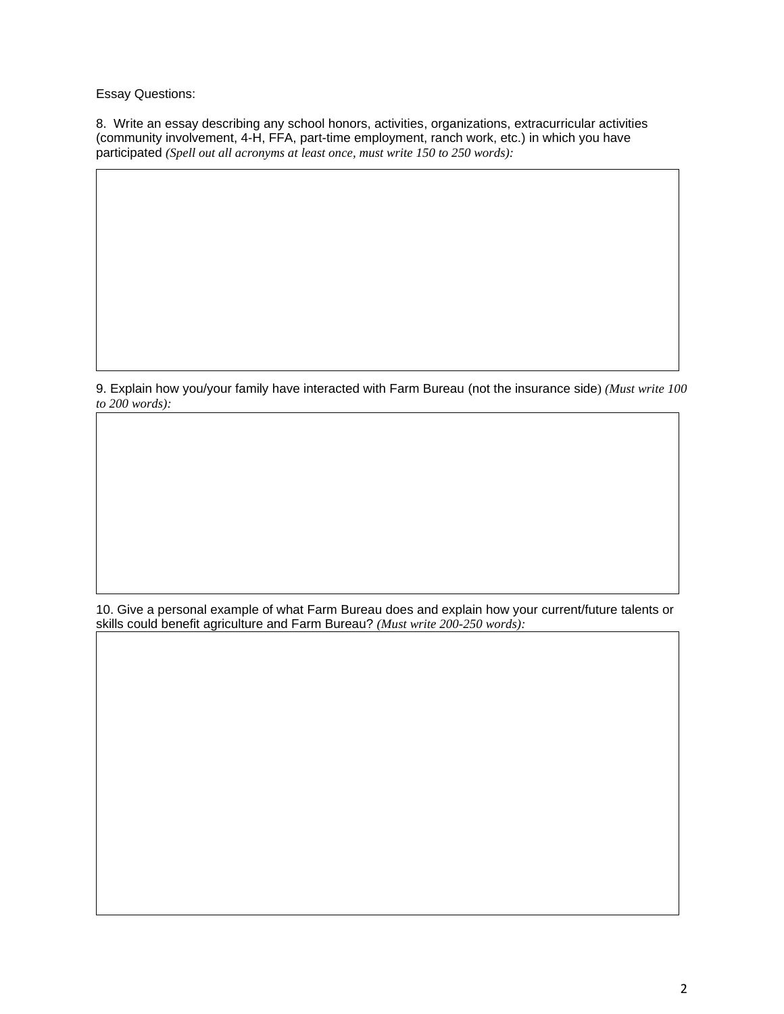Essay Questions:

8. Write an essay describing any school honors, activities, organizations, extracurricular activities (community involvement, 4-H, FFA, part-time employment, ranch work, etc.) in which you have participated *(Spell out all acronyms at least once, must write 150 to 250 words):*

9. Explain how you/your family have interacted with Farm Bureau (not the insurance side) *(Must write 100 to 200 words):*

10. Give a personal example of what Farm Bureau does and explain how your current/future talents or skills could benefit agriculture and Farm Bureau? *(Must write 200-250 words):*